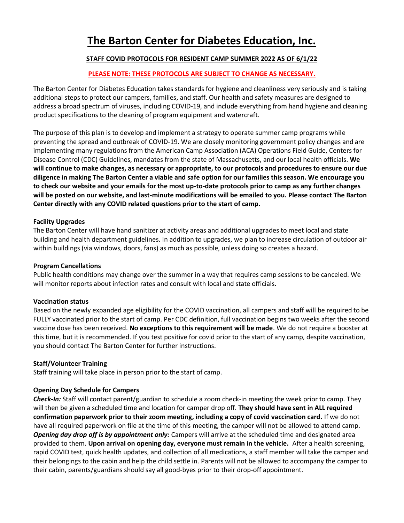# **The Barton Center for Diabetes Education, Inc.**

## **STAFF COVID PROTOCOLS FOR RESIDENT CAMP SUMMER 2022 AS OF 6/1/22**

## **PLEASE NOTE: THESE PROTOCOLS ARE SUBJECT TO CHANGE AS NECESSARY.**

The Barton Center for Diabetes Education takes standards for hygiene and cleanliness very seriously and is taking additional steps to protect our campers, families, and staff. Our health and safety measures are designed to address a broad spectrum of viruses, including COVID-19, and include everything from hand hygiene and cleaning product specifications to the cleaning of program equipment and watercraft.

The purpose of this plan is to develop and implement a strategy to operate summer camp programs while preventing the spread and outbreak of COVID-19. We are closely monitoring government policy changes and are implementing many regulations from the American Camp Association (ACA) Operations Field Guide, Centers for Disease Control (CDC) Guidelines, mandates from the state of Massachusetts, and our local health officials. **We will continue to make changes, as necessary or appropriate, to our protocols and procedures to ensure our due diligence in making The Barton Center a viable and safe option for our families this season. We encourage you to check our website and your emails for the most up-to-date protocols prior to camp as any further changes will be posted on our website, and last-minute modifications will be emailed to you. Please contact The Barton Center directly with any COVID related questions prior to the start of camp.**

## **Facility Upgrades**

The Barton Center will have hand sanitizer at activity areas and additional upgrades to meet local and state building and health department guidelines. In addition to upgrades, we plan to increase circulation of outdoor air within buildings (via windows, doors, fans) as much as possible, unless doing so creates a hazard.

## **Program Cancellations**

Public health conditions may change over the summer in a way that requires camp sessions to be canceled. We will monitor reports about infection rates and consult with local and state officials.

## **Vaccination status**

Based on the newly expanded age eligibility for the COVID vaccination, all campers and staff will be required to be FULLY vaccinated prior to the start of camp. Per CDC definition, full vaccination begins two weeks after the second vaccine dose has been received. **No exceptions to this requirement will be made**. We do not require a booster at this time, but it is recommended. If you test positive for covid prior to the start of any camp, despite vaccination, you should contact The Barton Center for further instructions.

## **Staff/Volunteer Training**

Staff training will take place in person prior to the start of camp.

## **Opening Day Schedule for Campers**

*Check-In:* Staff will contact parent/guardian to schedule a zoom check-in meeting the week prior to camp. They will then be given a scheduled time and location for camper drop off. **They should have sent in ALL required confirmation paperwork prior to their zoom meeting, including a copy of covid vaccination card.** If we do not have all required paperwork on file at the time of this meeting, the camper will not be allowed to attend camp. *Opening day drop off is by appointment only:* Campers will arrive at the scheduled time and designated area provided to them. **Upon arrival on opening day, everyone must remain in the vehicle.** After a health screening, rapid COVID test, quick health updates, and collection of all medications, a staff member will take the camper and their belongings to the cabin and help the child settle in. Parents will not be allowed to accompany the camper to their cabin, parents/guardians should say all good-byes prior to their drop-off appointment.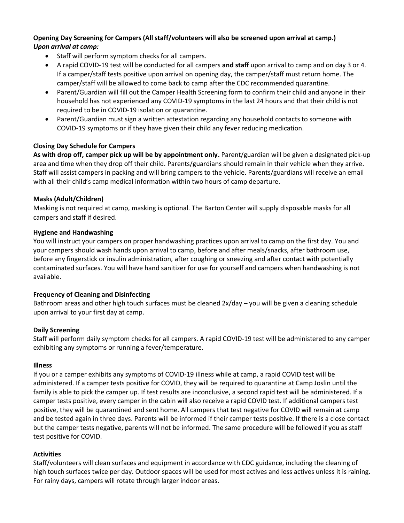## **Opening Day Screening for Campers (All staff/volunteers will also be screened upon arrival at camp.)** *Upon arrival at camp:*

- Staff will perform symptom checks for all campers.
- A rapid COVID-19 test will be conducted for all campers **and staff** upon arrival to camp and on day 3 or 4. If a camper/staff tests positive upon arrival on opening day, the camper/staff must return home. The camper/staff will be allowed to come back to camp after the CDC recommended quarantine.
- Parent/Guardian will fill out the Camper Health Screening form to confirm their child and anyone in their household has not experienced any COVID-19 symptoms in the last 24 hours and that their child is not required to be in COVID-19 isolation or quarantine.
- Parent/Guardian must sign a written attestation regarding any household contacts to someone with COVID-19 symptoms or if they have given their child any fever reducing medication.

## **Closing Day Schedule for Campers**

**As with drop off, camper pick up will be by appointment only.** Parent/guardian will be given a designated pick-up area and time when they drop off their child. Parents/guardians should remain in their vehicle when they arrive. Staff will assist campers in packing and will bring campers to the vehicle. Parents/guardians will receive an email with all their child's camp medical information within two hours of camp departure.

## **Masks (Adult/Children)**

Masking is not required at camp, masking is optional. The Barton Center will supply disposable masks for all campers and staff if desired.

## **Hygiene and Handwashing**

You will instruct your campers on proper handwashing practices upon arrival to camp on the first day. You and your campers should wash hands upon arrival to camp, before and after meals/snacks, after bathroom use, before any fingerstick or insulin administration, after coughing or sneezing and after contact with potentially contaminated surfaces. You will have hand sanitizer for use for yourself and campers when handwashing is not available.

## **Frequency of Cleaning and Disinfecting**

Bathroom areas and other high touch surfaces must be cleaned 2x/day – you will be given a cleaning schedule upon arrival to your first day at camp.

## **Daily Screening**

Staff will perform daily symptom checks for all campers. A rapid COVID-19 test will be administered to any camper exhibiting any symptoms or running a fever/temperature.

## **Illness**

If you or a camper exhibits any symptoms of COVID-19 illness while at camp, a rapid COVID test will be administered. If a camper tests positive for COVID, they will be required to quarantine at Camp Joslin until the family is able to pick the camper up. If test results are inconclusive, a second rapid test will be administered. If a camper tests positive, every camper in the cabin will also receive a rapid COVID test. If additional campers test positive, they will be quarantined and sent home. All campers that test negative for COVID will remain at camp and be tested again in three days. Parents will be informed if their camper tests positive. If there is a close contact but the camper tests negative, parents will not be informed. The same procedure will be followed if you as staff test positive for COVID.

## **Activities**

Staff/volunteers will clean surfaces and equipment in accordance with CDC guidance, including the cleaning of high touch surfaces twice per day. Outdoor spaces will be used for most actives and less actives unless it is raining. For rainy days, campers will rotate through larger indoor areas.